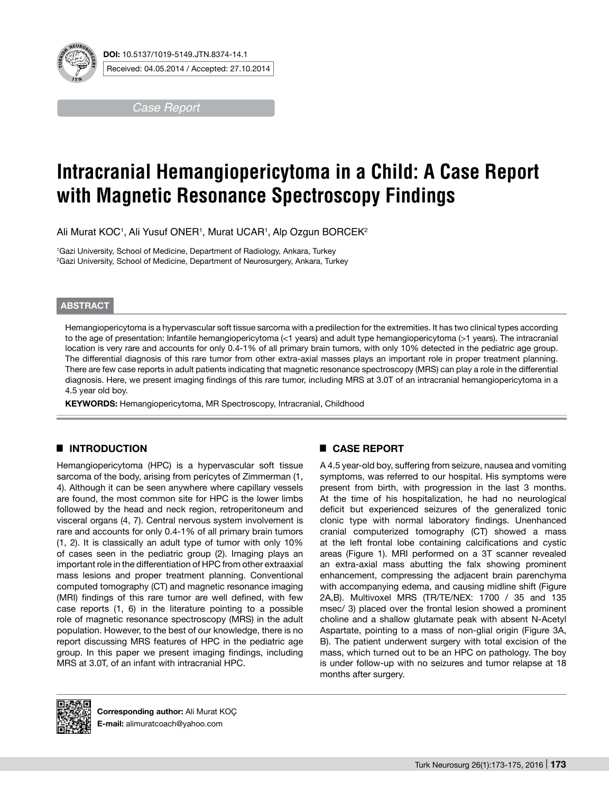

*Case Report*

# **Intracranial Hemangiopericytoma in a Child: A Case Report with Magnetic Resonance Spectroscopy Findings**

Ali Murat KOC1, Ali Yusuf ONER1, Murat UCAR1, Alp Ozgun BORCEK2

1 Gazi University, School of Medicine, Department of Radiology, Ankara, Turkey 2 Gazi University, School of Medicine, Department of Neurosurgery, Ankara, Turkey

### **ABSTRACT**

Hemangiopericytoma is a hypervascular soft tissue sarcoma with a predilection for the extremities. It has two clinical types according to the age of presentation: Infantile hemangiopericytoma (<1 years) and adult type hemangiopericytoma (>1 years). The intracranial location is very rare and accounts for only 0.4-1% of all primary brain tumors, with only 10% detected in the pediatric age group. The differential diagnosis of this rare tumor from other extra-axial masses plays an important role in proper treatment planning. There are few case reports in adult patients indicating that magnetic resonance spectroscopy (MRS) can play a role in the differential diagnosis. Here, we present imaging findings of this rare tumor, including MRS at 3.0T of an intracranial hemangiopericytoma in a 4.5 year old boy.

KEYWORDS: Hemangiopericytoma, MR Spectroscopy, Intracranial, Childhood

# █ **Introduction**

Hemangiopericytoma (HPC) is a hypervascular soft tissue sarcoma of the body, arising from pericytes of Zimmerman (1, 4). Although it can be seen anywhere where capillary vessels are found, the most common site for HPC is the lower limbs followed by the head and neck region, retroperitoneum and visceral organs (4, 7). Central nervous system involvement is rare and accounts for only 0.4-1% of all primary brain tumors (1, 2). It is classically an adult type of tumor with only 10% of cases seen in the pediatric group (2). Imaging plays an important role in the differentiation of HPC from other extraaxial mass lesions and proper treatment planning. Conventional computed tomography (CT) and magnetic resonance imaging (MRI) findings of this rare tumor are well defined, with few case reports (1, 6) in the literature pointing to a possible role of magnetic resonance spectroscopy (MRS) in the adult population. However, to the best of our knowledge, there is no report discussing MRS features of HPC in the pediatric age group. In this paper we present imaging findings, including MRS at 3.0T, of an infant with intracranial HPC.

# █ **CASE REPORT**

A 4.5 year-old boy, suffering from seizure, nausea and vomiting symptoms, was referred to our hospital. His symptoms were present from birth, with progression in the last 3 months. At the time of his hospitalization, he had no neurological deficit but experienced seizures of the generalized tonic clonic type with normal laboratory findings. Unenhanced cranial computerized tomography (CT) showed a mass at the left frontal lobe containing calcifications and cystic areas (Figure 1). MRI performed on a 3T scanner revealed an extra-axial mass abutting the falx showing prominent enhancement, compressing the adjacent brain parenchyma with accompanying edema, and causing midline shift (Figure 2A,B). Multivoxel MRS (TR/TE/NEX: 1700 / 35 and 135 msec/ 3) placed over the frontal lesion showed a prominent choline and a shallow glutamate peak with absent N-Acetyl Aspartate, pointing to a mass of non-glial origin (Figure 3A, B). The patient underwent surgery with total excision of the mass, which turned out to be an HPC on pathology. The boy is under follow-up with no seizures and tumor relapse at 18 months after surgery.



**Corresponding author:** Ali Murat KOÇ **E-mail:** alimuratcoach@yahoo.com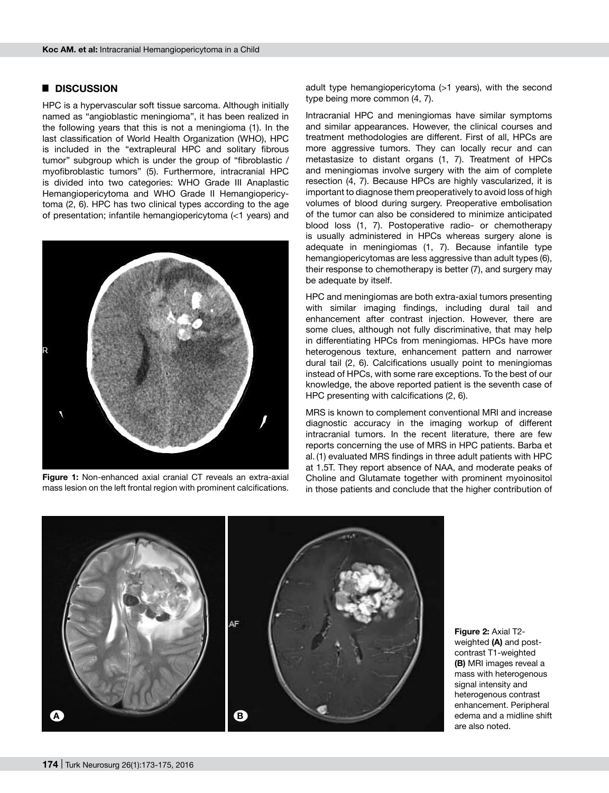#### █ **DISCUSSION**

HPC is a hypervascular soft tissue sarcoma. Although initially named as "angioblastic meningioma", it has been realized in the following years that this is not a meningioma (1). In the last classification of World Health Organization (WHO), HPC is included in the "extrapleural HPC and solitary fibrous tumor" subgroup which is under the group of "fibroblastic / myofibroblastic tumors" (5). Furthermore, intracranial HPC is divided into two categories: WHO Grade III Anaplastic Hemangiopericytoma and WHO Grade II Hemangiopericytoma (2, 6). HPC has two clinical types according to the age of presentation; infantile hemangiopericytoma (<1 years) and



**Figure 1:** Non-enhanced axial cranial CT reveals an extra-axial mass lesion on the left frontal region with prominent calcifications.

adult type hemangiopericytoma (>1 years), with the second type being more common (4, 7).

Intracranial HPC and meningiomas have similar symptoms and similar appearances. However, the clinical courses and treatment methodologies are different. First of all, HPCs are more aggressive tumors. They can locally recur and can metastasize to distant organs (1, 7). Treatment of HPCs and meningiomas involve surgery with the aim of complete resection (4, 7). Because HPCs are highly vascularized, it is important to diagnose them preoperatively to avoid loss of high volumes of blood during surgery. Preoperative embolisation of the tumor can also be considered to minimize anticipated blood loss (1, 7). Postoperative radio- or chemotherapy is usually administered in HPCs whereas surgery alone is adequate in meningiomas (1, 7). Because infantile type hemangiopericytomas are less aggressive than adult types (6), their response to chemotherapy is better (7), and surgery may be adequate by itself.

HPC and meningiomas are both extra-axial tumors presenting with similar imaging findings, including dural tail and enhancement after contrast injection. However, there are some clues, although not fully discriminative, that may help in differentiating HPCs from meningiomas. HPCs have more heterogenous texture, enhancement pattern and narrower dural tail (2, 6). Calcifications usually point to meningiomas instead of HPCs, with some rare exceptions. To the best of our knowledge, the above reported patient is the seventh case of HPC presenting with calcifications (2, 6).

MRS is known to complement conventional MRI and increase diagnostic accuracy in the imaging workup of different intracranial tumors. In the recent literature, there are few reports concerning the use of MRS in HPC patients. Barba et al. (1) evaluated MRS findings in three adult patients with HPC at 1.5T. They report absence of NAA, and moderate peaks of Choline and Glutamate together with prominent myoinositol in those patients and conclude that the higher contribution of



**Figure 2:** Axial T2 weighted (A) and postcontrast T1-weighted **(b)** MRI images reveal a mass with heterogenous signal intensity and heterogenous contrast enhancement. Peripheral edema and a midline shift are also noted.